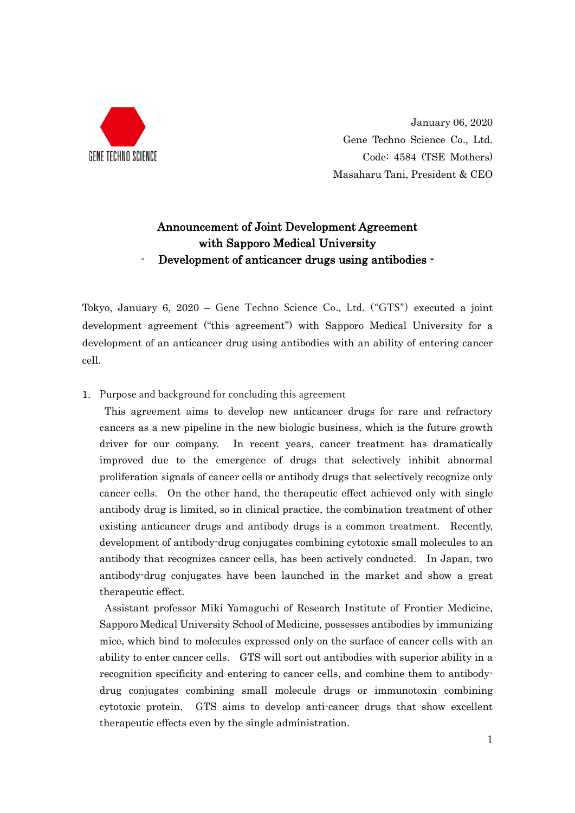

January 06, 2020 Gene Techno Science Co., Ltd. Code: 4584 (TSE Mothers) Masaharu Tani, President & CEO

## Announcement of Joint Development Agreement with Sapporo Medical University Development of anticancer drugs using antibodies -

Tokyo, January 6, 2020 – Gene Techno Science Co., Ltd. ("GTS") executed a joint development agreement ("this agreement") with Sapporo Medical University for a development of an anticancer drug using antibodies with an ability of entering cancer cell.

1. Purpose and background for concluding this agreement

This agreement aims to develop new anticancer drugs for rare and refractory cancers as a new pipeline in the new biologic business, which is the future growth driver for our company. In recent years, cancer treatment has dramatically improved due to the emergence of drugs that selectively inhibit abnormal proliferation signals of cancer cells or antibody drugs that selectively recognize only cancer cells. On the other hand, the therapeutic effect achieved only with single antibody drug is limited, so in clinical practice, the combination treatment of other existing anticancer drugs and antibody drugs is a common treatment. Recently, development of antibody-drug conjugates combining cytotoxic small molecules to an antibody that recognizes cancer cells, has been actively conducted. In Japan, two antibody-drug conjugates have been launched in the market and show a great therapeutic effect.

Assistant professor Miki Yamaguchi of Research Institute of Frontier Medicine, Sapporo Medical University School of Medicine, possesses antibodies by immunizing mice, which bind to molecules expressed only on the surface of cancer cells with an ability to enter cancer cells. GTS will sort out antibodies with superior ability in a recognition specificity and entering to cancer cells, and combine them to antibodydrug conjugates combining small molecule drugs or immunotoxin combining cytotoxic protein. GTS aims to develop anti-cancer drugs that show excellent therapeutic effects even by the single administration.